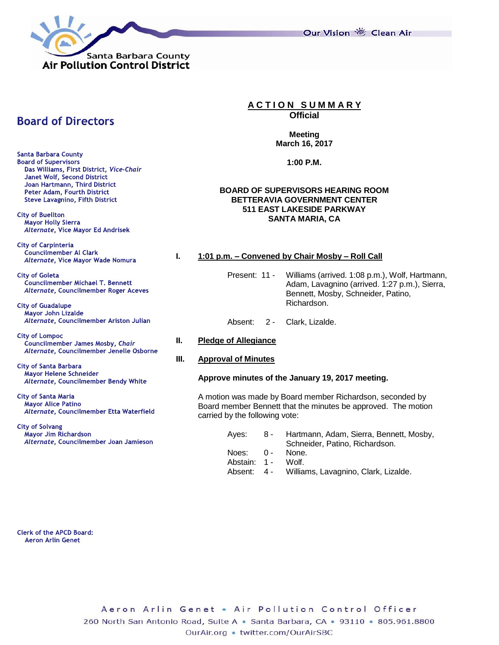

Our Vision 卷 Clean Air

# **Board of Directors**

**Santa Barbara County Board of Supervisors** Das Williams, First District, Vice-Chair Janet Wolf, Second District Joan Hartmann, Third District Peter Adam. Fourth District **Steve Lavagnino, Fifth District** 

**City of Buellton Mayor Holly Sierra** Alternate, Vice Mayor Ed Andrisek

**City of Carpinteria** Councilmember Al Clark Alternate, Vice Mayor Wade Nomura

**City of Goleta** Councilmember Michael T. Bennett Alternate, Councilmember Roger Aceves

**City of Guadalupe** Mayor John Lizalde Alternate, Councilmember Ariston Julian

**City of Lompoc** Councilmember James Mosby, Chair Alternate, Councilmember Jenelle Osborne

**City of Santa Barbara** Mayor Helene Schneider Alternate, Councilmember Bendy White

**City of Santa Maria Mayor Alice Patino** Alternate, Councilmember Etta Waterfield

**City of Solvang** Mayor Jim Richardson Alternate, Councilmember Joan Jamieson

# **A C T I O N S U M M A R Y**

**Official**

**Meeting March 16, 2017**

**1:00 P.M.**

## **BOARD OF SUPERVISORS HEARING ROOM BETTERAVIA GOVERNMENT CENTER 511 EAST LAKESIDE PARKWAY SANTA MARIA, CA**

## **I. 1:01 p.m. – Convened by Chair Mosby – Roll Call**

- Present: 11 Williams (arrived. 1:08 p.m.), Wolf, Hartmann, Adam, Lavagnino (arrived. 1:27 p.m.), Sierra, Bennett, Mosby, Schneider, Patino, Richardson.
- Absent: 2 Clark, Lizalde.
- **II. Pledge of Allegiance**

## **III. Approval of Minutes**

## **Approve minutes of the January 19, 2017 meeting.**

A motion was made by Board member Richardson, seconded by Board member Bennett that the minutes be approved. The motion carried by the following vote:

| Aves: 8 -          | Hartmann, Adam, Sierra, Bennett, Mosby,          |
|--------------------|--------------------------------------------------|
|                    | Schneider, Patino, Richardson.                   |
| Noes: 0 - None.    |                                                  |
| Abstain: 1 - Wolf. |                                                  |
|                    | Absent: 4 - Williams, Lavagnino, Clark, Lizalde. |

**Clerk of the APCD Board: Aeron Arlin Genet**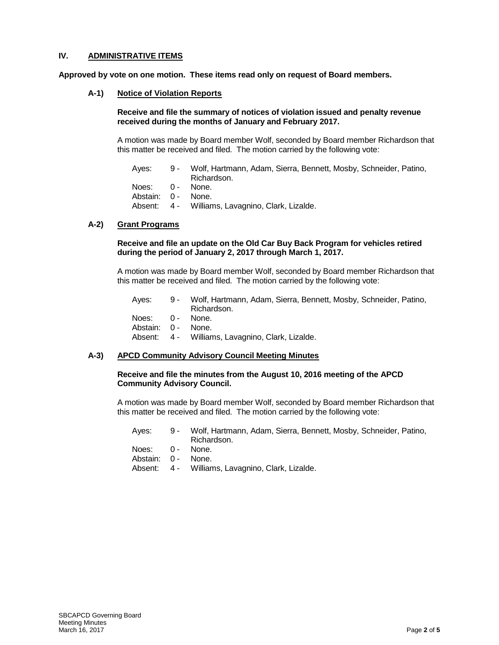# **IV. ADMINISTRATIVE ITEMS**

**Approved by vote on one motion. These items read only on request of Board members.**

**A-1) Notice of Violation Reports**

## **Receive and file the summary of notices of violation issued and penalty revenue received during the months of January and February 2017.**

A motion was made by Board member Wolf, seconded by Board member Richardson that this matter be received and filed. The motion carried by the following vote:

| Aves:              | 9 - Wolf, Hartmann, Adam, Sierra, Bennett, Mosby, Schneider, Patino,<br>Richardson. |
|--------------------|-------------------------------------------------------------------------------------|
| Noes: 0 - None.    |                                                                                     |
| Abstain: 0 - None. |                                                                                     |
|                    | Absent: 4 - Williams, Lavagnino, Clark, Lizalde.                                    |

# **A-2) Grant Programs**

#### **Receive and file an update on the Old Car Buy Back Program for vehicles retired during the period of January 2, 2017 through March 1, 2017.**

A motion was made by Board member Wolf, seconded by Board member Richardson that this matter be received and filed. The motion carried by the following vote:

| Aves:              | 9 - Wolf, Hartmann, Adam, Sierra, Bennett, Mosby, Schneider, Patino,<br>Richardson. |
|--------------------|-------------------------------------------------------------------------------------|
|                    |                                                                                     |
| Noes: 0 - None.    |                                                                                     |
| Abstain: 0 - None. |                                                                                     |
|                    | Absent: 4 - Williams, Lavagnino, Clark, Lizalde.                                    |

## **A-3) APCD Community Advisory Council Meeting Minutes**

#### **Receive and file the minutes from the August 10, 2016 meeting of the APCD Community Advisory Council.**

A motion was made by Board member Wolf, seconded by Board member Richardson that this matter be received and filed. The motion carried by the following vote:

| Aves:              | 9 - Wolf, Hartmann, Adam, Sierra, Bennett, Mosby, Schneider, Patino, |
|--------------------|----------------------------------------------------------------------|
|                    | Richardson.                                                          |
| Noes: 0 - None.    |                                                                      |
| Abstain: 0 - None. |                                                                      |
|                    | Absent: 4 - Williams, Lavagnino, Clark, Lizalde.                     |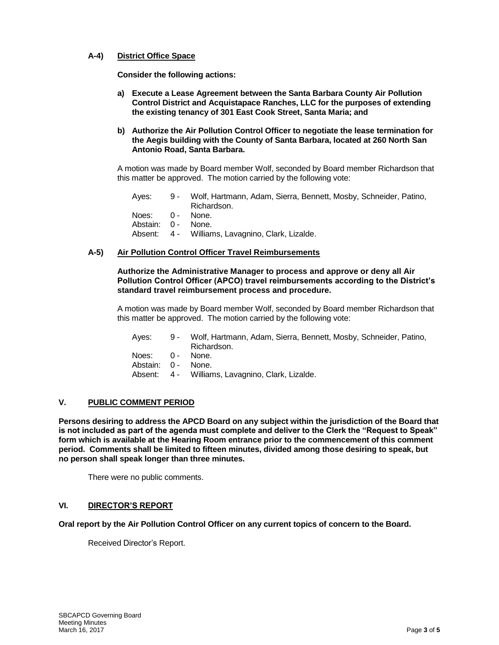## **A-4) District Office Space**

**Consider the following actions:**

- **a) Execute a Lease Agreement between the Santa Barbara County Air Pollution Control District and Acquistapace Ranches, LLC for the purposes of extending the existing tenancy of 301 East Cook Street, Santa Maria; and**
- **b) Authorize the Air Pollution Control Officer to negotiate the lease termination for the Aegis building with the County of Santa Barbara, located at 260 North San Antonio Road, Santa Barbara.**

A motion was made by Board member Wolf, seconded by Board member Richardson that this matter be approved. The motion carried by the following vote:

| Aves:              | 9 - Wolf, Hartmann, Adam, Sierra, Bennett, Mosby, Schneider, Patino,<br>Richardson. |
|--------------------|-------------------------------------------------------------------------------------|
| Noes: 0 - None.    |                                                                                     |
| Abstain: 0 - None. |                                                                                     |
|                    | Absent: 4 - Williams, Lavagnino, Clark, Lizalde.                                    |

## **A-5) Air Pollution Control Officer Travel Reimbursements**

#### **Authorize the Administrative Manager to process and approve or deny all Air Pollution Control Officer (APCO) travel reimbursements according to the District's standard travel reimbursement process and procedure.**

A motion was made by Board member Wolf, seconded by Board member Richardson that this matter be approved. The motion carried by the following vote:

| 9 - Wolf, Hartmann, Adam, Sierra, Bennett, Mosby, Schneider, Patino,<br>Richardson. |
|-------------------------------------------------------------------------------------|
| Noes: 0 - None.                                                                     |
| Abstain: 0 - None.                                                                  |
| Absent: 4 - Williams, Lavagnino, Clark, Lizalde.                                    |
|                                                                                     |

## **V. PUBLIC COMMENT PERIOD**

**Persons desiring to address the APCD Board on any subject within the jurisdiction of the Board that is not included as part of the agenda must complete and deliver to the Clerk the "Request to Speak" form which is available at the Hearing Room entrance prior to the commencement of this comment period. Comments shall be limited to fifteen minutes, divided among those desiring to speak, but no person shall speak longer than three minutes.**

There were no public comments.

## **VI. DIRECTOR'S REPORT**

**Oral report by the Air Pollution Control Officer on any current topics of concern to the Board.**

Received Director's Report.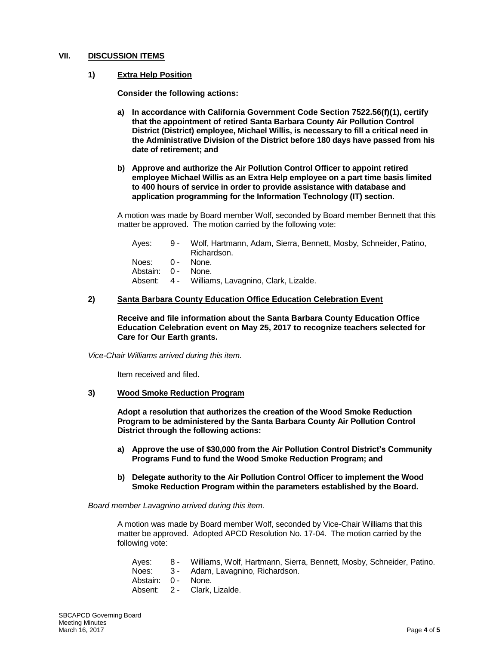## **VII. DISCUSSION ITEMS**

## **1) Extra Help Position**

**Consider the following actions:** 

- **a) In accordance with California Government Code Section 7522.56(f)(1), certify that the appointment of retired Santa Barbara County Air Pollution Control District (District) employee, Michael Willis, is necessary to fill a critical need in the Administrative Division of the District before 180 days have passed from his date of retirement; and**
- **b) Approve and authorize the Air Pollution Control Officer to appoint retired employee Michael Willis as an Extra Help employee on a part time basis limited to 400 hours of service in order to provide assistance with database and application programming for the Information Technology (IT) section.**

A motion was made by Board member Wolf, seconded by Board member Bennett that this matter be approved. The motion carried by the following vote:

| Aves:              | 9 - Wolf, Hartmann, Adam, Sierra, Bennett, Mosby, Schneider, Patino,<br>Richardson. |
|--------------------|-------------------------------------------------------------------------------------|
| Noes: 0 - None.    |                                                                                     |
| Abstain: 0 - None. |                                                                                     |
|                    | Absent: 4 - Williams, Lavagnino, Clark, Lizalde.                                    |

#### **2) Santa Barbara County Education Office Education Celebration Event**

**Receive and file information about the Santa Barbara County Education Office Education Celebration event on May 25, 2017 to recognize teachers selected for Care for Our Earth grants.** 

*Vice-Chair Williams arrived during this item.*

Item received and filed.

## **3) Wood Smoke Reduction Program**

**Adopt a resolution that authorizes the creation of the Wood Smoke Reduction Program to be administered by the Santa Barbara County Air Pollution Control District through the following actions:** 

- **a) Approve the use of \$30,000 from the Air Pollution Control District's Community Programs Fund to fund the Wood Smoke Reduction Program; and**
- **b) Delegate authority to the Air Pollution Control Officer to implement the Wood Smoke Reduction Program within the parameters established by the Board.**

*Board member Lavagnino arrived during this item.*

A motion was made by Board member Wolf, seconded by Vice-Chair Williams that this matter be approved. Adopted APCD Resolution No. 17-04. The motion carried by the following vote:

| Aves:              | 8 - Williams, Wolf, Hartmann, Sierra, Bennett, Mosby, Schneider, Patino. |
|--------------------|--------------------------------------------------------------------------|
|                    | Noes: 3 - Adam, Lavagnino, Richardson.                                   |
| Abstain: 0 - None. |                                                                          |
|                    | Absent: 2 - Clark. Lizalde.                                              |